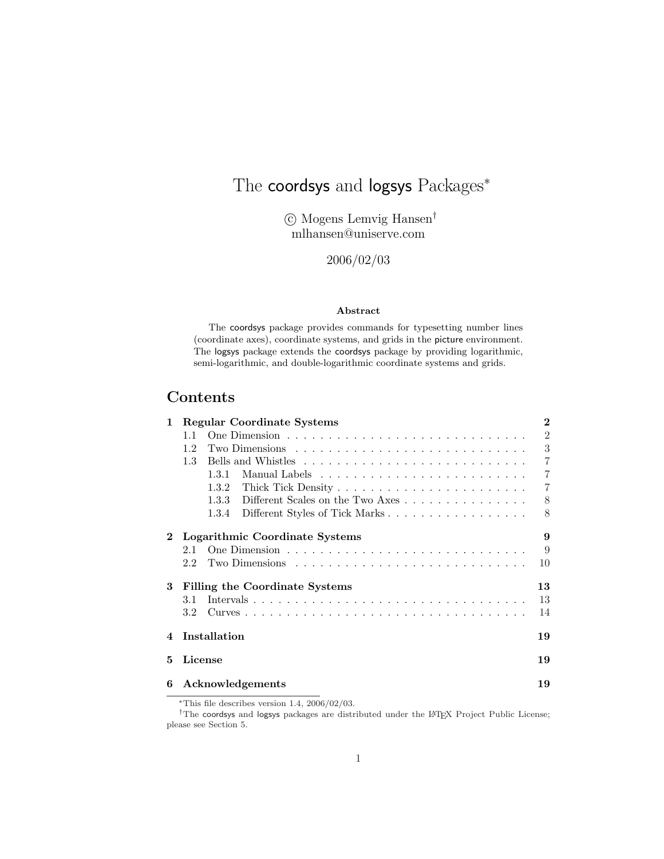# The coordsys and logsys Packages<sup>\*</sup>

°c Mogens Lemvig Hansen† mlhansen@uniserve.com

2006/02/03

### Abstract

The coordsys package provides commands for typesetting number lines (coordinate axes), coordinate systems, and grids in the picture environment. The logsys package extends the coordsys package by providing logarithmic, semi-logarithmic, and double-logarithmic coordinate systems and grids.

# Contents

| $\mathbf{1}$ |     | <b>Regular Coordinate Systems</b>                                                      | $\bf{2}$       |
|--------------|-----|----------------------------------------------------------------------------------------|----------------|
|              | 1.1 |                                                                                        | $\overline{2}$ |
|              | 1.2 | Two Dimensions $\ldots \ldots \ldots \ldots \ldots \ldots \ldots \ldots \ldots \ldots$ | 3              |
|              | 1.3 |                                                                                        | $\overline{7}$ |
|              |     | 1.3.1                                                                                  | $\overline{7}$ |
|              |     | 1.3.2                                                                                  | $\overline{7}$ |
|              |     | Different Scales on the Two Axes<br>1.3.3                                              | 8              |
|              |     | Different Styles of Tick Marks<br>1.3.4                                                | 8              |
| $\bf{2}$     |     | Logarithmic Coordinate Systems                                                         | 9              |
|              | 2.1 |                                                                                        | 9              |
|              | 2.2 |                                                                                        | 10             |
| 3            |     | Filling the Coordinate Systems                                                         | 13             |
|              | 3.1 |                                                                                        | 13             |
|              | 3.2 |                                                                                        | 14             |
| 4            |     | Installation                                                                           | 19             |
| 5            |     | License                                                                                | 19             |
| 6            |     | Acknowledgements                                                                       | 19             |

<sup>∗</sup>This file describes version 1.4, 2006/02/03.

<sup>†</sup>The coordsys and logsys packages are distributed under the LATEX Project Public License; please see Section 5.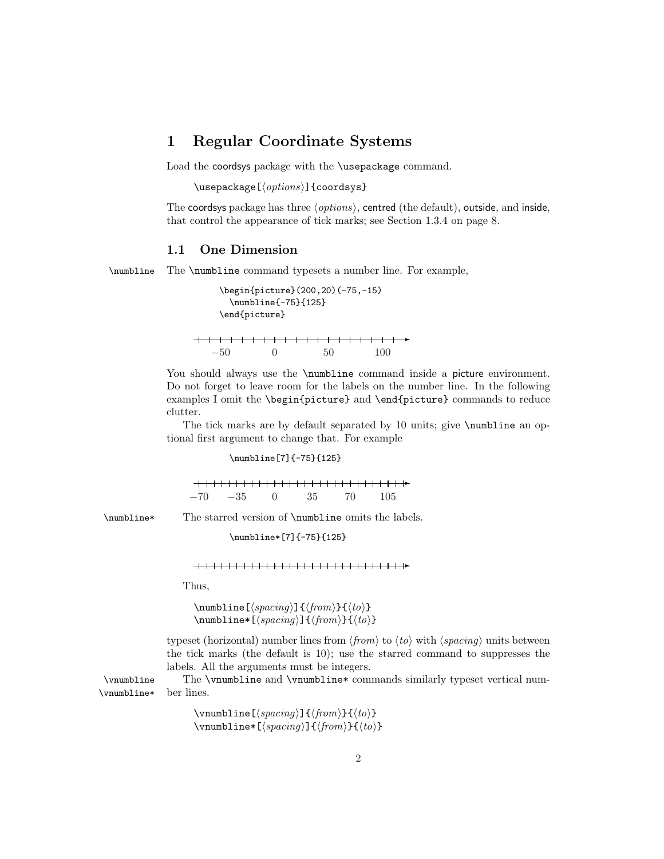### 1 Regular Coordinate Systems

Load the coordsys package with the \usepackage command.

 $\text{v}$ usepackage $[\langle options \rangle]$ {coordsys}

The coordsys package has three  $\langle options \rangle$ , centred (the default), outside, and inside, that control the appearance of tick marks; see Section 1.3.4 on page 8.

### 1.1 One Dimension

\numbline The \numbline command typesets a number line. For example,

```
\begin{picture}(200,20)(-75,-15)
    \numbline{-75}{125}
  \end{picture}
✲
  −50 0 50 100
```
You should always use the **\numbline** command inside a picture environment. Do not forget to leave room for the labels on the number line. In the following examples I omit the \begin{picture} and \end{picture} commands to reduce clutter.

The tick marks are by default separated by 10 units; give  $\mathbf{h}$  units an optional first argument to change that. For example

\numbline[7]{-75}{125}

╶╂<del>╎╎╎╎╏╎╎╎╎╏╎╎╎╎╏╎╎╎╏╎╎╎╏╎╏╎╎╎╏╎</del>╊┼┾ −70 −35 0 35 70 105

\numbline\* The starred version of \numbline omits the labels.

\numbline\*[7]{-75}{125}

### ✲

Thus,

\numbline [ $\langle$ *spacing*}]{ $\langle$ *from*}}{ $\langle$ *to*}}  $\lambda$ inumbline\*[ $\$ gacing)]{ $\$ from)}{ $\$ to)}

typeset (horizontal) number lines from  $\langle from \rangle$  to  $\langle to \rangle$  with  $\langle spacing \rangle$  units between the tick marks (the default is 10); use the starred command to suppresses the labels. All the arguments must be integers.

\vnumbline The \vnumbline and \vnumbline\* commands similarly typeset vertical num- \vnumbline\* ber lines.

> \vnumbline[ $\langle spacing \rangle$ ]{ $\langle from \rangle$ }{ $\langle to \rangle$ } \vnumbline\*[ $\langle spacing\rangle$ ]{ $\langle from\rangle$ }{ $\langle to\rangle$ }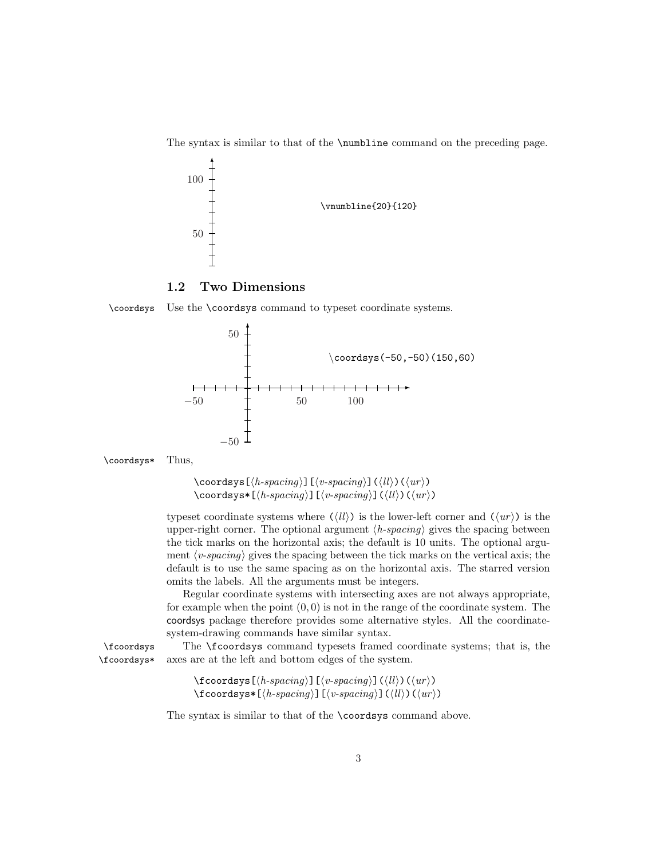The syntax is similar to that of the \numbline command on the preceding page.



1.2 Two Dimensions

\coordsys Use the \coordsys command to typeset coordinate systems.





 $\text{Coordsys}[\langle h\text{-}spacing \rangle] [\langle v\text{-}spacing \rangle] (\langle ll \rangle) (\langle ur \rangle)$  $\text{Coordsys*}[\langle h\text{-}spacing \rangle] [\langle v\text{-}spacing \rangle] (\langle ll \rangle) (\langle ur \rangle)$ 

typeset coordinate systems where  $(\langle ll \rangle)$  is the lower-left corner and  $(\langle ur \rangle)$  is the upper-right corner. The optional argument  $\langle h\text{-}spacing \rangle$  gives the spacing between the tick marks on the horizontal axis; the default is 10 units. The optional argument  $\langle v\text{-}spacing \rangle$  gives the spacing between the tick marks on the vertical axis; the default is to use the same spacing as on the horizontal axis. The starred version omits the labels. All the arguments must be integers.

Regular coordinate systems with intersecting axes are not always appropriate, for example when the point  $(0, 0)$  is not in the range of the coordinate system. The coordsys package therefore provides some alternative styles. All the coordinatesystem-drawing commands have similar syntax.

\fcoordsys The \fcoordsys command typesets framed coordinate systems; that is, the \fcoordsys\* axes are at the left and bottom edges of the system.

```
\setminusfcoordsys[\langle h\text{-}spacing \rangle][\langle v\text{-}spacing \rangle](\langle ll \rangle)(\langle ur \rangle)\text{Coordsys*}[\langle h\text{-}spacing \rangle] [\langle v\text{-}spacing \rangle] (\langle ll \rangle) (\langle ur \rangle)
```
The syntax is similar to that of the \coordsys command above.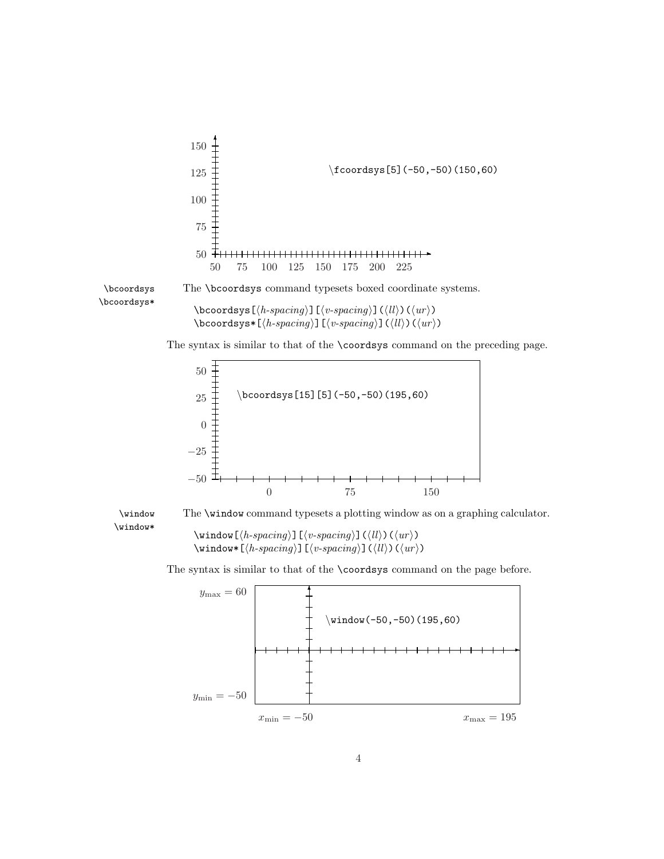

\bcoordsys\*

\bcoordsys The \bcoordsys command typesets boxed coordinate systems.

 $\boldsymbol{\delta}(\boldsymbol{h}\text{-}spacing)\right]\left(\langle v\text{-}spacing\right)\right]\left(\langle ll\rangle\right)\left(\langle ur\rangle\right)$ \bcoordsys\*[ $\hbar$ -spacing)][ $\langle v\text{-}spacing \rangle$ ]( $\langle ll \rangle$ )( $\langle ur \rangle$ )

The syntax is similar to that of the \coordsys command on the preceding page.





\window The \window command typesets a plotting window as on a graphing calculator.

 $\wedge\$ indow $[\langle h\text{-}spacing \rangle]$  $[\langle v\text{-}spacing \rangle]$  $(\langle ll \rangle)$  $(\langle ur \rangle)$ \window\*[ $\langle h\text{-}spacing \rangle$ ][ $\langle v\text{-}spacing \rangle$ ]( $\langle ll \rangle$ )( $\langle ur \rangle$ )

The syntax is similar to that of the \coordsys command on the page before.

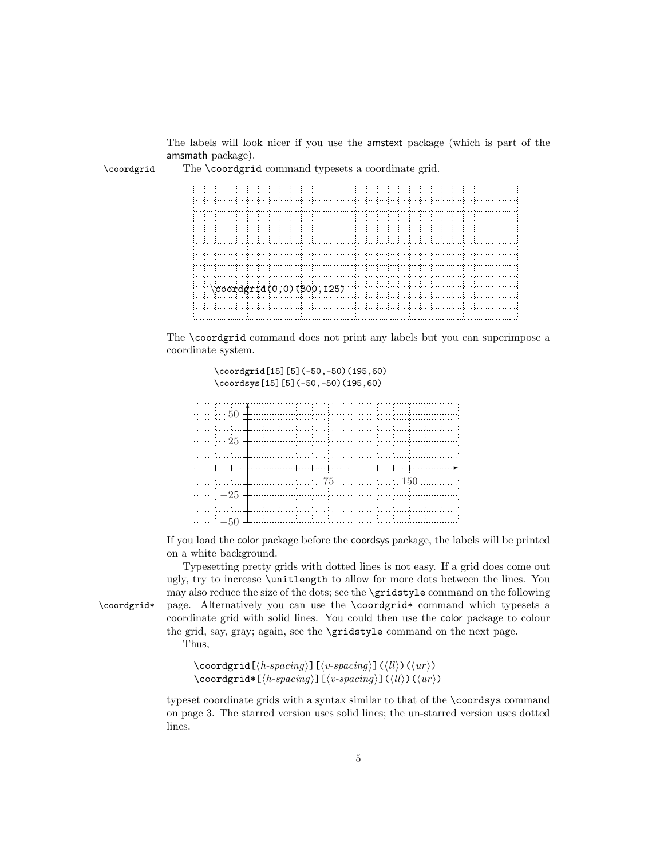The labels will look nicer if you use the amstext package (which is part of the amsmath package).

\coordgrid The \coordgrid command typesets a coordinate grid.

|  |  | $\cos\left(0,0\right)$ (300,125) |  |  |  |  |  |  |  |  |  |  |  |  |
|--|--|----------------------------------|--|--|--|--|--|--|--|--|--|--|--|--|
|  |  |                                  |  |  |  |  |  |  |  |  |  |  |  |  |
|  |  |                                  |  |  |  |  |  |  |  |  |  |  |  |  |
|  |  |                                  |  |  |  |  |  |  |  |  |  |  |  |  |
|  |  |                                  |  |  |  |  |  |  |  |  |  |  |  |  |

The \coordgrid command does not print any labels but you can superimpose a coordinate system.

> \coordgrid[15][5](-50,-50)(195,60) \coordsys[15][5](-50,-50)(195,60)

| e de escritos en l                                                                                             |  |  |                                                                                                               |  |  |  |  |
|----------------------------------------------------------------------------------------------------------------|--|--|---------------------------------------------------------------------------------------------------------------|--|--|--|--|
| engen en engen en s                                                                                            |  |  |                                                                                                               |  |  |  |  |
| an de concerte como de como de como de como de como de como de como de como de como de como de como de como se |  |  |                                                                                                               |  |  |  |  |
|                                                                                                                |  |  |                                                                                                               |  |  |  |  |
|                                                                                                                |  |  |                                                                                                               |  |  |  |  |
|                                                                                                                |  |  |                                                                                                               |  |  |  |  |
|                                                                                                                |  |  |                                                                                                               |  |  |  |  |
| e de executivo d                                                                                               |  |  | and the companies of the companies of the companies of the companies of the companies of the companies of the |  |  |  |  |
| <u> 1999 - Andrea Andrews, amerikan provinci (h. 1988)</u>                                                     |  |  |                                                                                                               |  |  |  |  |

If you load the color package before the coordsys package, the labels will be printed on a white background.

Typesetting pretty grids with dotted lines is not easy. If a grid does come out ugly, try to increase \unitlength to allow for more dots between the lines. You may also reduce the size of the dots; see the \gridstyle command on the following \coordgrid\* page. Alternatively you can use the \coordgrid\* command which typesets a coordinate grid with solid lines. You could then use the color package to colour the grid, say, gray; again, see the \gridstyle command on the next page.

Thus,

 $\text{Coordgrid}(\text{h-spacing})[\langle v\text{-}spacing \rangle](\langle ll \rangle)(\langle ur \rangle)$  $\text{Coordgrid*}[\langle h\text{-}spacing \rangle] [\langle v\text{-}spacing \rangle] (\langle ll \rangle) (\langle ur \rangle)$ 

typeset coordinate grids with a syntax similar to that of the \coordsys command on page 3. The starred version uses solid lines; the un-starred version uses dotted lines.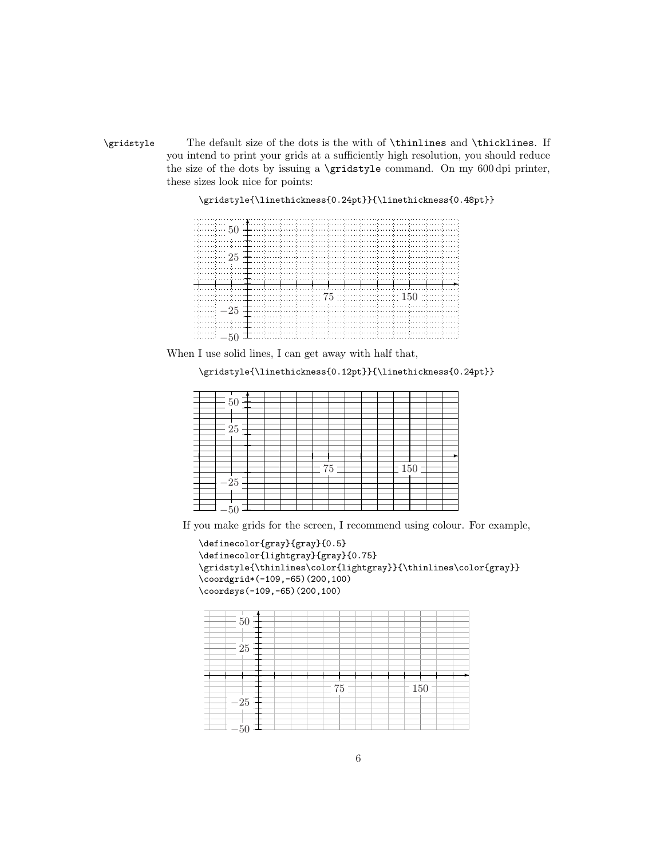\gridstyle The default size of the dots is the with of \thinlines and \thicklines. If you intend to print your grids at a sufficiently high resolution, you should reduce the size of the dots by issuing a \gridstyle command. On my 600 dpi printer, these sizes look nice for points:

|                    |        |                                                                                             | $\frac{1}{50}$ $\stackrel{\bullet}{+}$ . The contribution of the contribution of the contribution of the contribution of the contribution of the contribution of the contribution of the contribution of the contribution of the contribution                                                                                      |  |
|--------------------|--------|---------------------------------------------------------------------------------------------|------------------------------------------------------------------------------------------------------------------------------------------------------------------------------------------------------------------------------------------------------------------------------------------------------------------------------------|--|
|                    |        |                                                                                             | the companies of the companies of the companies of the companies of the companies of the companies of the companies of the companies of the companies of the companies of the companies of the companies of the companies of t<br>والمستحقق والمستحرك والمستحرك والمستحرك والمستحرك والمستحر والمستحرك والمناقص والمستحرك والمناقص |  |
|                    |        |                                                                                             |                                                                                                                                                                                                                                                                                                                                    |  |
| $25 +$             |        | and a confidence of the process of the control of the control of the control of the control |                                                                                                                                                                                                                                                                                                                                    |  |
|                    |        | a consistencia e atenera e atenera e atenera e atenera                                      |                                                                                                                                                                                                                                                                                                                                    |  |
|                    |        |                                                                                             |                                                                                                                                                                                                                                                                                                                                    |  |
|                    |        |                                                                                             |                                                                                                                                                                                                                                                                                                                                    |  |
|                    | クビー・シー |                                                                                             |                                                                                                                                                                                                                                                                                                                                    |  |
|                    | 6 V    |                                                                                             |                                                                                                                                                                                                                                                                                                                                    |  |
| $25 +$             |        |                                                                                             |                                                                                                                                                                                                                                                                                                                                    |  |
|                    |        |                                                                                             |                                                                                                                                                                                                                                                                                                                                    |  |
|                    |        |                                                                                             |                                                                                                                                                                                                                                                                                                                                    |  |
| and a state of the |        | الفليلية المتفاعلة المتفاعدة المتفاعدة المتفاعلة المقالس                                    | a de la provincia para la completa del control para la completa del completa del completa del para la complet                                                                                                                                                                                                                      |  |

\gridstyle{\linethickness{0.24pt}}{\linethickness{0.48pt}}

When I use solid lines, I can get away with half that,

\gridstyle{\linethickness{0.12pt}}{\linethickness{0.24pt}}

| 50    |  |    |  |  |     |  |  |
|-------|--|----|--|--|-----|--|--|
|       |  |    |  |  |     |  |  |
|       |  |    |  |  |     |  |  |
|       |  |    |  |  |     |  |  |
|       |  |    |  |  |     |  |  |
| 25    |  |    |  |  |     |  |  |
|       |  |    |  |  |     |  |  |
|       |  |    |  |  |     |  |  |
|       |  |    |  |  |     |  |  |
|       |  |    |  |  |     |  |  |
|       |  |    |  |  |     |  |  |
|       |  |    |  |  |     |  |  |
|       |  |    |  |  |     |  |  |
|       |  | 75 |  |  | 150 |  |  |
|       |  |    |  |  |     |  |  |
|       |  |    |  |  |     |  |  |
| $-25$ |  |    |  |  |     |  |  |
|       |  |    |  |  |     |  |  |
|       |  |    |  |  |     |  |  |
|       |  |    |  |  |     |  |  |
|       |  |    |  |  |     |  |  |
|       |  |    |  |  |     |  |  |
| -50   |  |    |  |  |     |  |  |

If you make grids for the screen, I recommend using colour. For example,

```
\definecolor{gray}{gray}{0.5}
\definecolor{lightgray}{gray}{0.75}
\gridstyle{\thinlines\color{lightgray}}{\thinlines\color{gray}}
\coordgrid*(-109,-65)(200,100)
\coordsys(-109,-65)(200,100)
```
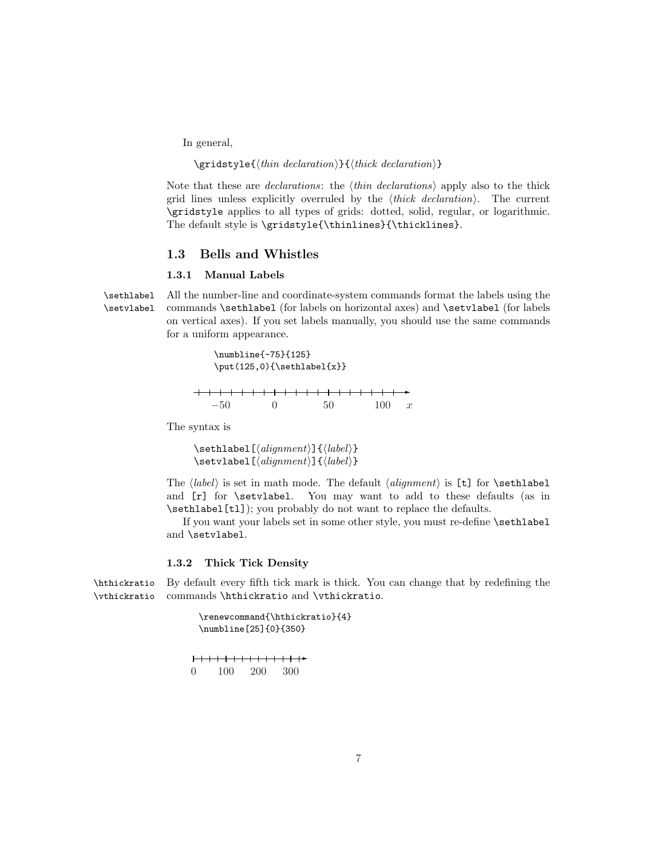In general,

### $\sqrt{\frac{think}{think} \det(\theta)}$

Note that these are *declarations*: the  $\langle thin\; declarations \rangle$  apply also to the thick grid lines unless explicitly overruled by the  $\langle thick\ declaration\rangle$ . The current \gridstyle applies to all types of grids: dotted, solid, regular, or logarithmic. The default style is \gridstyle{\thinlines}{\thicklines}.

### 1.3 Bells and Whistles

### 1.3.1 Manual Labels

\sethlabel All the number-line and coordinate-system commands format the labels using the \setvlabel commands \sethlabel (for labels on horizontal axes) and \setvlabel (for labels on vertical axes). If you set labels manually, you should use the same commands for a uniform appearance.

> \numbline{-75}{125}  $\put(125,0){\setminus}$  $\rightarrow$  $+$   $+$  $+$  $-50$  0 50 100 x

The syntax is

 $\setminus$ sethlabel $[\langle alignment \rangle]\{\langle label \rangle\}$  $\setminus$ setvlabel $[(alignment)]\{\label{label}$ 

The  $\langle label \rangle$  is set in math mode. The default  $\langle alignment \rangle$  is [t] for **\sethlabel** and [r] for \setvlabel. You may want to add to these defaults (as in \sethlabel[tl]); you probably do not want to replace the defaults.

If you want your labels set in some other style, you must re-define \sethlabel and \setvlabel.

### 1.3.2 Thick Tick Density

\hthickratio By default every fifth tick mark is thick. You can change that by redefining the \vthickratio commands \hthickratio and \vthickratio.

> \renewcommand{\hthickratio}{4} \numbline[25]{0}{350}

┣<del>╾┼╌┼╌╂╌┼╌┼╌╂╌┼╌┼╌╂╌╀═╋</del> 0 100 200 300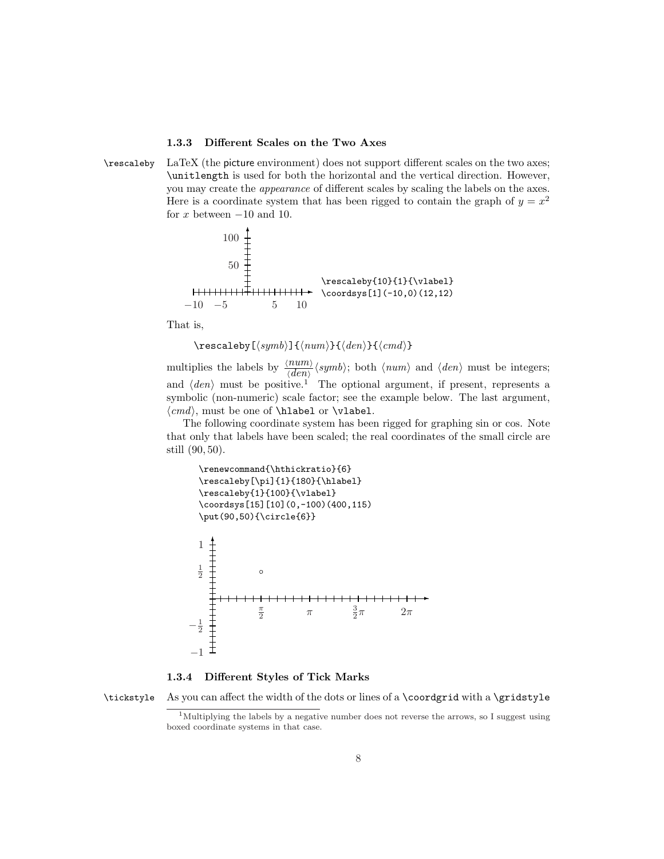### 1.3.3 Different Scales on the Two Axes

\rescaleby LaTeX (the picture environment) does not support different scales on the two axes; \unitlength is used for both the horizontal and the vertical direction. However, you may create the appearance of different scales by scaling the labels on the axes. Here is a coordinate system that has been rigged to contain the graph of  $y = x^2$ for x between  $-10$  and 10.



That is,

 $\text{rescaleby}$ [ $\langle \text{num}$ }{ $\langle \text{den}$ }{ $\langle \text{cmd}$ }}

multiplies the labels by  $\frac{\langle num \rangle}{\langle dem \rangle} \langle symb \rangle$ ; both  $\langle num \rangle$  and  $\langle den \rangle$  must be integers; and  $\langle den \rangle$  must be positive.<sup>1</sup> The optional argument, if present, represents a symbolic (non-numeric) scale factor; see the example below. The last argument,  $\langle cmd \rangle$ , must be one of **\hlabel** or **\vlabel**.

The following coordinate system has been rigged for graphing sin or cos. Note that only that labels have been scaled; the real coordinates of the small circle are still (90, 50).

```
\renewcommand{\hthickratio}{6}
  \rescaleby[\pi]{1}{180}{\hlabel}
  \rescaleby{1}{100}{\vlabel}
  \coordsys[15][10](0,-100)(400,115)
  \put(90,50){\circle{6}}
  1
    ✻
  \frac{1}{2}\circ\rightarrow\frac{\pi}{2}\pi\frac{3}{2}\pi 2\pi-\frac{1}{2}−1
```
1.3.4 Different Styles of Tick Marks

\tickstyle As you can affect the width of the dots or lines of a \coordgrid with a \gridstyle

<sup>&</sup>lt;sup>1</sup>Multiplying the labels by a negative number does not reverse the arrows, so I suggest using boxed coordinate systems in that case.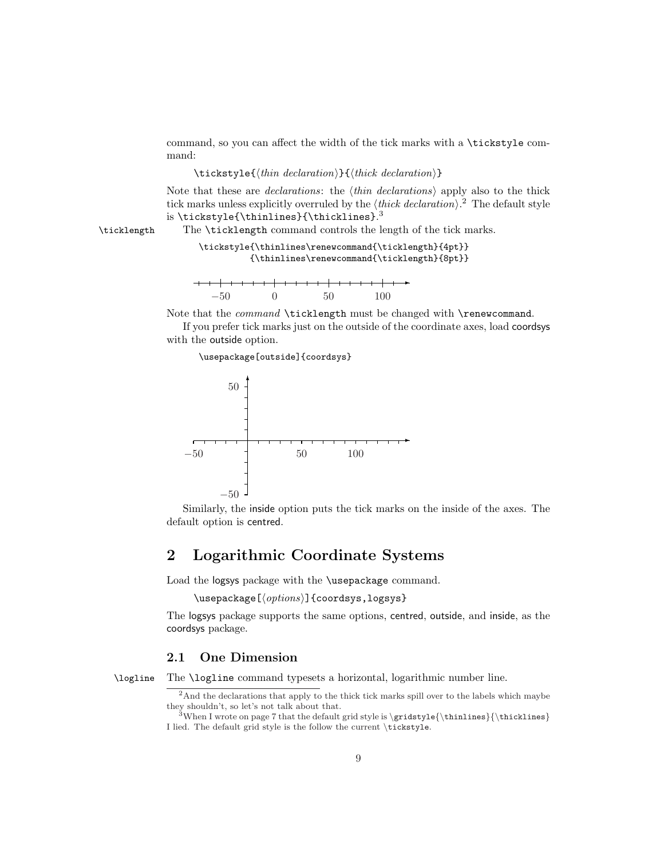command, so you can affect the width of the tick marks with a \tickstyle command:

#### $\text{tickstyle}\{\langle thin\ declaration\rangle\}$  (thick declaration)}

Note that these are *declarations*: the  $\langle thin\; declarations \rangle$  apply also to the thick tick marks unless explicitly overruled by the  $\langle thick\ declaration \rangle$ .<sup>2</sup> The default style is \tickstyle{\thinlines}{\thicklines}.<sup>3</sup>

\ticklength The \ticklength command controls the length of the tick marks.

### \tickstyle{\thinlines\renewcommand{\ticklength}{4pt}} {\thinlines\renewcommand{\ticklength}{8pt}}

| $-50$ |  |  |  | $50^{\circ}$ |  |  | 100 |  |
|-------|--|--|--|--------------|--|--|-----|--|

Note that the *command* **\ticklength** must be changed with **\renewcommand**.

If you prefer tick marks just on the outside of the coordinate axes, load coordsys with the outside option.

\usepackage[outside]{coordsys}



Similarly, the inside option puts the tick marks on the inside of the axes. The default option is centred.

### 2 Logarithmic Coordinate Systems

Load the logsys package with the \usepackage command.

```
\text{luseppe}[\langle options\rangle] {coordsys, logsys}
```
The logsys package supports the same options, centred, outside, and inside, as the coordsys package.

### 2.1 One Dimension

\logline The \logline command typesets a horizontal, logarithmic number line.

<sup>&</sup>lt;sup>2</sup>And the declarations that apply to the thick tick marks spill over to the labels which maybe they shouldn't, so let's not talk about that.

 $3$ When I wrote on page 7 that the default grid style is \gridstyle{\thinlines}{\thicklines} I lied. The default grid style is the follow the current \tickstyle.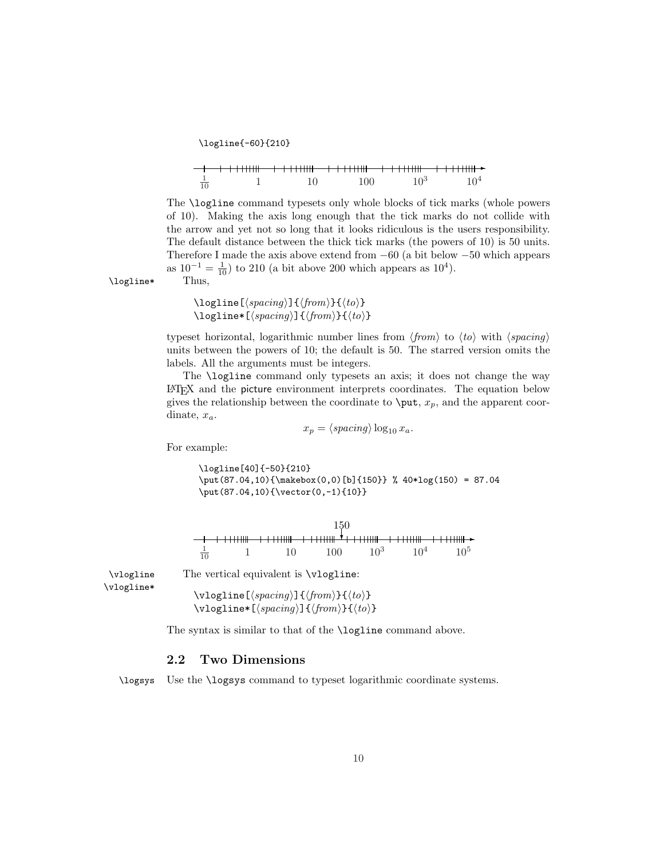\logline{-60}{210}

|                | ╶╾ <del>╌╉╌╌╌╂┈╎┧╎╿╎╿┨╶┈┈╎┈╎╎╿╿╿╢</del> ╌┈┼┈┼╌┼┼┼┼╫╂┈╌╌┼╌┼┼┼┼╫╂╌╌╌┼╌┼┼┼┼┼╫╊╌ <del>╞</del> |         |        |        |
|----------------|-------------------------------------------------------------------------------------------|---------|--------|--------|
| $\frac{1}{10}$ |                                                                                           | $100 -$ | $10^3$ | $10^4$ |

The \logline command typesets only whole blocks of tick marks (whole powers of 10). Making the axis long enough that the tick marks do not collide with the arrow and yet not so long that it looks ridiculous is the users responsibility. The default distance between the thick tick marks (the powers of 10) is 50 units. Therefore I made the axis above extend from −60 (a bit below −50 which appears as  $10^{-1} = \frac{1}{10}$ ) to 210 (a bit above 200 which appears as  $10^{4}$ ).

\logline\* Thus,

 $\logline[\langle spacing\rangle]\{\langle from\rangle\}\{\langle to\rangle\}$  $\logline*(\langle spacing \rangle]{\langle from \rangle}{\langle to \rangle}$ 

typeset horizontal, logarithmic number lines from  $\langle from \rangle$  to  $\langle to \rangle$  with  $\langle spacing \rangle$ units between the powers of 10; the default is 50. The starred version omits the labels. All the arguments must be integers.

The **\logline** command only typesets an axis; it does not change the way LATEX and the picture environment interprets coordinates. The equation below gives the relationship between the coordinate to  $\put$ ,  $x_p$ , and the apparent coordinate,  $x_a$ .

$$
x_p = \langle spacing \rangle \log_{10} x_a.
$$

For example:

\logline[40]{-50}{210} \put(87.04,10){\makebox(0,0)[b]{150}} % 40\*log(150) = 87.04 \put(87.04,10){\vector(0,-1){10}}

150 ❄  $+ + + + + + +$  $++++++$ ✲  $+ + + + + +$  $\frac{1}{10}$  $\frac{1}{10}$  1 10 100 10<sup>3</sup> 10<sup>4</sup> 10<sup>5</sup>

\vlogline\*

\vlogline The vertical equivalent is \vlogline:

 $\forall$ rlogline[ $\langle spacing \rangle$ ]{ $\langle from \rangle$ }{ $\langle to \rangle$ }  $\forall$ rlogline\*[ $\langle spacing \rangle$ ]{ $\langle from \rangle$ }{ $\langle to \rangle$ }

The syntax is similar to that of the **\logline** command above.

### 2.2 Two Dimensions

\logsys Use the \logsys command to typeset logarithmic coordinate systems.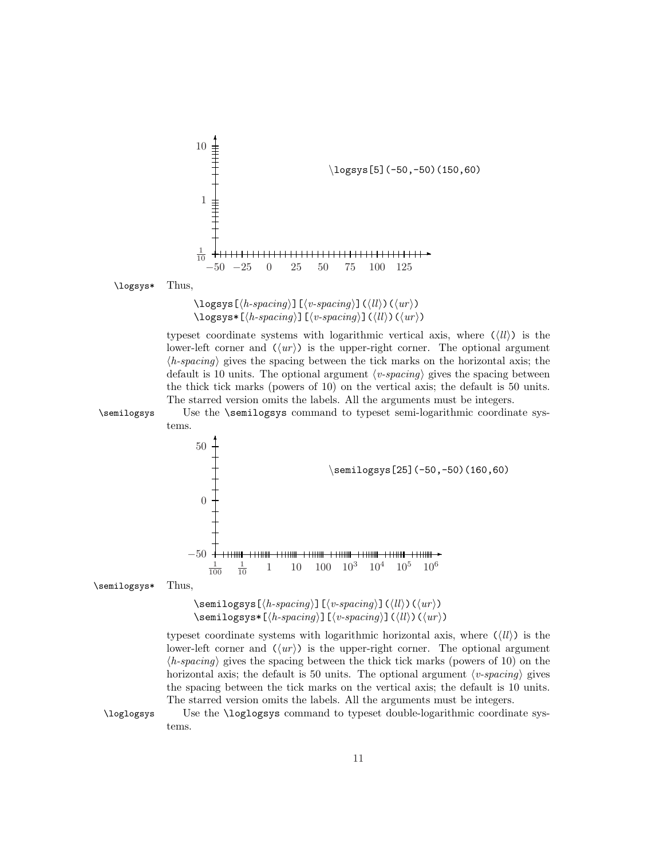

 $\logsys[\langle h\text{-}spacing \rangle][\langle v\text{-}spacing \rangle](\langle ll \rangle)(\langle ur \rangle)$  $\log$ sys\*[ $\langle h\text{-}spacing \rangle$ ][ $\langle v\text{-}spacing \rangle$ ]( $\langle ll \rangle$ )( $\langle ur \rangle$ )

typeset coordinate systems with logarithmic vertical axis, where  $(\langle ll \rangle)$  is the lower-left corner and  $\langle\langle ur \rangle$ ) is the upper-right corner. The optional argument  $\langle h\text{-}spacing \rangle$  gives the spacing between the tick marks on the horizontal axis; the default is 10 units. The optional argument  $\langle v\text{-}spacing\rangle$  gives the spacing between the thick tick marks (powers of 10) on the vertical axis; the default is 50 units. The starred version omits the labels. All the arguments must be integers.

\semilogsys Use the \semilogsys command to typeset semi-logarithmic coordinate systems.



\semilogsys\* Thus,

 $\mathcal{\S}$ emilogsys $[\langle h\text{-}spacing \rangle] [\langle v\text{-}spacing \rangle] (\langle ll \rangle) (\langle ur \rangle)$  $\sum_{\ell=1}^{\infty}$ [ $\langle h\text{-}spacing \rangle$ ][ $\langle v\text{-}spacing \rangle$ ]( $\langle ll \rangle$ )( $\langle ur \rangle$ )

typeset coordinate systems with logarithmic horizontal axis, where  $(\langle ll \rangle)$  is the lower-left corner and  $\langle\langle ur \rangle$ ) is the upper-right corner. The optional argument  $\langle h\text{-}spacing \rangle$  gives the spacing between the thick tick marks (powers of 10) on the horizontal axis; the default is 50 units. The optional argument  $\langle v\text{-}spacing \rangle$  gives the spacing between the tick marks on the vertical axis; the default is 10 units. The starred version omits the labels. All the arguments must be integers.

\loglogsys Use the \loglogsys command to typeset double-logarithmic coordinate systems.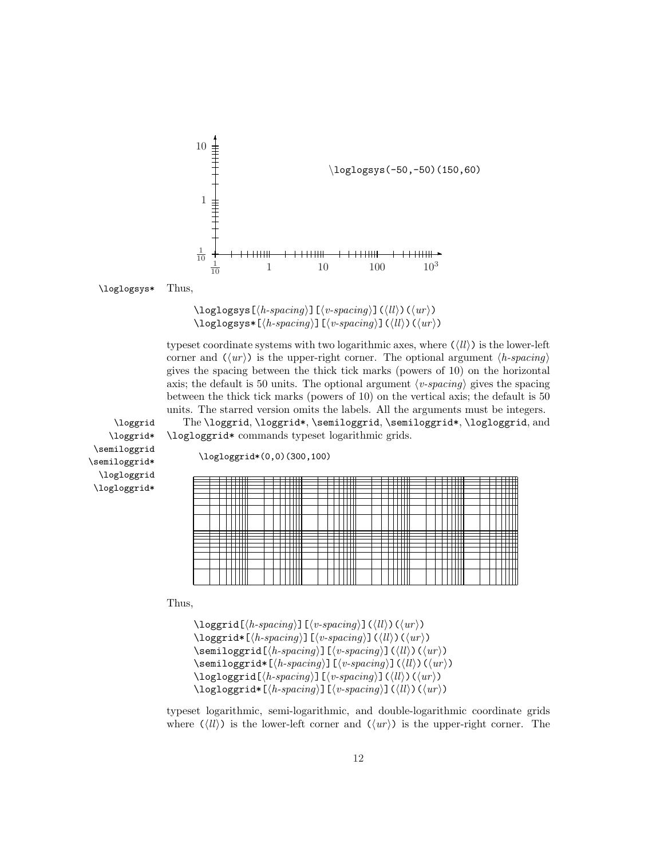

\loglogsys\* Thus,

 $\log\log\left[\langle h\text{-}spacing \rangle\right]$  [ $\langle v\text{-}spacing \rangle$ ] ( $\langle ll \rangle$ ) ( $\langle ur \rangle$ )  $\log\log s * [\langle h\text{-}spacing \rangle] [\langle v\text{-}spacing \rangle] (\langle ll \rangle) (\langle ur \rangle)$ 

typeset coordinate systems with two logarithmic axes, where  $(\langle ll \rangle)$  is the lower-left corner and  $\langle \langle u r \rangle \rangle$  is the upper-right corner. The optional argument  $\langle h$ -spacing) gives the spacing between the thick tick marks (powers of 10) on the horizontal axis; the default is 50 units. The optional argument  $\langle v\text{-}spacing\rangle$  gives the spacing between the thick tick marks (powers of 10) on the vertical axis; the default is 50 units. The starred version omits the labels. All the arguments must be integers.

\loggrid The \loggrid, \loggrid\*, \semiloggrid, \semiloggrid\*, \logloggrid, and \logloggrid\* commands typeset logarithmic grids.

\loggrid\* \semiloggrid \semiloggrid\* \logloggrid \logloggrid\*

\logloggrid\*(0,0)(300,100)

|  | ___ |        |  |  | <del>.</del> |          |  |  | ┯      |            |  |  | —— |  |      | __           |  |  | ———                      |
|--|-----|--------|--|--|--------------|----------|--|--|--------|------------|--|--|----|--|------|--------------|--|--|--------------------------|
|  |     | ᅲ      |  |  |              | ᆩ        |  |  |        | ┯          |  |  | ┯  |  |      | <del>.</del> |  |  | ▦                        |
|  |     | ┯<br>┯ |  |  | ┑            | ┯┯<br>┿┿ |  |  |        | ᅟ᠊᠇᠇<br>┯┷ |  |  | ∓⊞ |  |      | ┯<br>₩       |  |  |                          |
|  |     |        |  |  |              |          |  |  |        |            |  |  | ㅠ  |  |      |              |  |  |                          |
|  |     |        |  |  |              |          |  |  |        |            |  |  |    |  |      |              |  |  |                          |
|  |     |        |  |  |              |          |  |  |        |            |  |  | π  |  |      |              |  |  |                          |
|  |     |        |  |  |              |          |  |  |        |            |  |  |    |  |      |              |  |  |                          |
|  |     |        |  |  |              |          |  |  |        |            |  |  |    |  |      |              |  |  |                          |
|  |     |        |  |  |              |          |  |  |        |            |  |  |    |  |      |              |  |  |                          |
|  | ┱   | ┯      |  |  | ---          |          |  |  | ------ | tr         |  |  | ┯  |  | ---- |              |  |  | $\overline{\phantom{0}}$ |
|  |     | ∓      |  |  |              | ∓        |  |  |        | ᆩ          |  |  | ∓  |  |      | ⊞            |  |  |                          |
|  |     |        |  |  |              |          |  |  |        |            |  |  | ┯  |  |      | П            |  |  |                          |
|  |     |        |  |  |              |          |  |  |        |            |  |  |    |  |      |              |  |  |                          |
|  |     |        |  |  |              |          |  |  |        |            |  |  | т  |  |      |              |  |  |                          |
|  |     |        |  |  |              |          |  |  |        |            |  |  |    |  |      |              |  |  |                          |
|  |     |        |  |  |              |          |  |  |        |            |  |  |    |  |      |              |  |  |                          |
|  |     |        |  |  |              |          |  |  |        |            |  |  |    |  |      |              |  |  |                          |

Thus,

 $\log\{h\text{-}spacing\}$ [(v-spacing)]((ll)((ur))  $\log\{t\cdot\frac{\langle h\cdot\frac{\partial\phi}{\partial x}\rangle\right]}\$  (\lli) (\lli) (\lar \)  $\setminus$ semiloggrid[ $\langle h\text{-}spacing \rangle$ ][ $\langle v\text{-}spacing \rangle$ ]( $\langle ll \rangle$ )( $\langle ur \rangle$ )  $\text{semiloggrid*}[\langle h\text{-}spacing \rangle] [\langle v\text{-}spacing \rangle] (\langle ll \rangle) (\langle ur \rangle)$  $\log\log\left[\langle h\text{-}spacing \rangle\right]$  [ $\langle v\text{-}spacing \rangle$ ] ( $\langle ll \rangle$ ) ( $\langle ur \rangle$ )  $\log\log\left(\frac{h\text{-}spacing}{\sin\theta}\right)[\langle v\text{-}spacing\rangle](\langle ll\rangle)(\langle ur\rangle)$ 

typeset logarithmic, semi-logarithmic, and double-logarithmic coordinate grids where  $(\langle ll \rangle)$  is the lower-left corner and  $(\langle ur \rangle)$  is the upper-right corner. The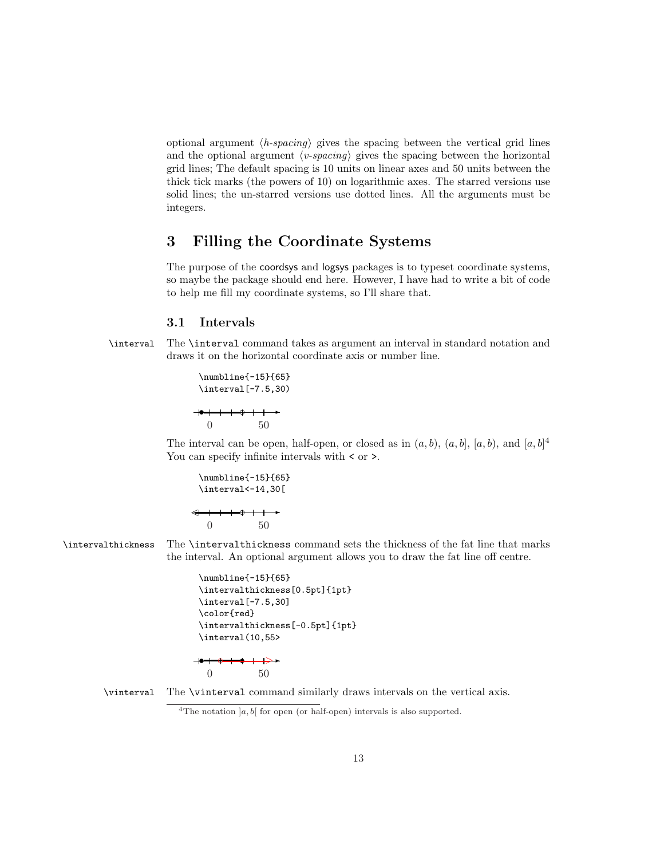optional argument  $\langle h\text{-}spacing \rangle$  gives the spacing between the vertical grid lines and the optional argument  $\langle v\text{-}spacing\rangle$  gives the spacing between the horizontal grid lines; The default spacing is 10 units on linear axes and 50 units between the thick tick marks (the powers of 10) on logarithmic axes. The starred versions use solid lines; the un-starred versions use dotted lines. All the arguments must be integers.

# 3 Filling the Coordinate Systems

The purpose of the coordsys and logsys packages is to typeset coordinate systems, so maybe the package should end here. However, I have had to write a bit of code to help me fill my coordinate systems, so I'll share that.

### 3.1 Intervals

\interval The \interval command takes as argument an interval in standard notation and draws it on the horizontal coordinate axis or number line.

> \numbline{-15}{65} \interval[-7.5,30)  $\begin{array}{c|c|c|c|c} \hline \multicolumn{1}{c|}{\textbf{\textcolor{red}{\textbf{}}}} & \multicolumn{1}{c|}{\textbf{\textcolor{red}{\textbf{}}}} & \multicolumn{1}{c|}{\textbf{\textcolor{red}{\textbf{}}}} & \multicolumn{1}{c|}{\textbf{\textcolor{red}{\textbf{}}}} & \multicolumn{1}{c|}{\textbf{\textcolor{red}{\textbf{}}}} & \multicolumn{1}{c|}{\textbf{\textcolor{red}{\textbf{}}}} & \multicolumn{1}{c|}{\textbf{\textcolor{red}{\textbf{}}}} & \multicolumn{1}{c|}{\textbf{\textcolor{red}{\$ 0 50

The interval can be open, half-open, or closed as in  $(a, b)$ ,  $(a, b]$ ,  $[a, b)$ , and  $[a, b]^4$ You can specify infinite intervals with  $\leq$  or  $\geq$ .

$$
\verb|\number=15]{65}|
$$
\n
$$
\verb|\interval<-14,30[
$$
\n
$$
\leftarrow
$$
\n
$$
\leftarrow
$$
\n
$$
\leftarrow
$$
\n
$$
\leftarrow
$$
\n
$$
\leftarrow
$$
\n
$$
\leftarrow
$$
\n
$$
\leftarrow
$$
\n
$$
\leftarrow
$$
\n
$$
\leftarrow
$$
\n
$$
\leftarrow
$$
\n
$$
\leftarrow
$$
\n
$$
\leftarrow
$$
\n
$$
\leftarrow
$$
\n
$$
\leftarrow
$$
\n
$$
\leftarrow
$$
\n
$$
\leftarrow
$$
\n
$$
\leftarrow
$$
\n
$$
\leftarrow
$$
\n
$$
\leftarrow
$$
\n
$$
\leftarrow
$$
\n
$$
\leftarrow
$$
\n
$$
\leftarrow
$$
\n
$$
\leftarrow
$$
\n
$$
\leftarrow
$$
\n
$$
\leftarrow
$$
\n
$$
\leftarrow
$$
\n
$$
\leftarrow
$$
\n
$$
\leftarrow
$$
\n
$$
\leftarrow
$$
\n
$$
\leftarrow
$$
\n
$$
\leftarrow
$$
\n
$$
\leftarrow
$$
\n
$$
\leftarrow
$$
\n
$$
\leftarrow
$$
\n
$$
\leftarrow
$$
\n
$$
\leftarrow
$$
\n
$$
\leftarrow
$$
\n
$$
\leftarrow
$$
\n
$$
\leftarrow
$$
\n
$$
\leftarrow
$$
\n
$$
\leftarrow
$$
\n
$$
\leftarrow
$$
\n
$$
\leftarrow
$$
\n
$$
\leftarrow
$$
\n
$$
\leftarrow
$$
\n
$$
\leftarrow
$$
\n
$$
\leftarrow
$$
\n
$$
\leftarrow
$$
\n
$$
\leftarrow
$$
\n
$$
\leftarrow
$$
\n
$$
\leftarrow
$$
\n
$$
\leftarrow
$$
\n
$$
\leftarrow
$$
\n
$$
\leftarrow
$$
\n
$$
\leftarrow
$$
\n
$$
\leftarrow
$$
\n
$$
\leftarrow
$$
\n
$$
\leftarrow
$$
\n
$$
\leftarrow
$$
\n
$$
\leftarrow
$$
\n<math display="</math>

\intervalthickness The \intervalthickness command sets the thickness of the fat line that marks the interval. An optional argument allows you to draw the fat line off centre.

```
\numbline{-15}{65}
\intervalthickness[0.5pt]{1pt}
\interval[-7.5,30]
\color{red}
\intervalthickness[-0.5pt]{1pt}
\interval(10,55>
              ✲
+ + + + +
```
0 50

\vinterval The \vinterval command similarly draws intervals on the vertical axis.

<sup>&</sup>lt;sup>4</sup>The notation  $[a, b]$  for open (or half-open) intervals is also supported.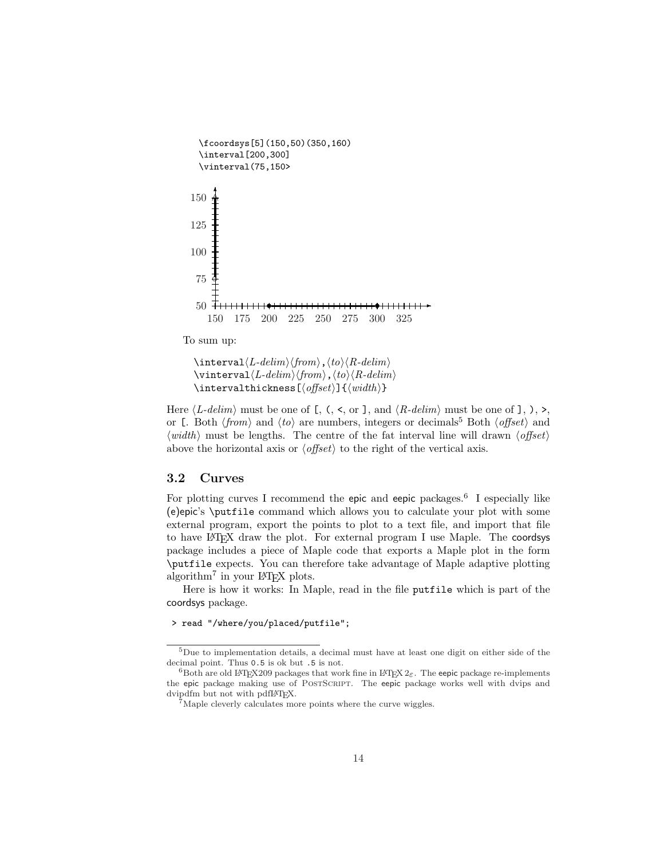```
\fcoordsys[5](150,50)(350,160)
   \interval[200,300]
   \vinterval(75,150>
                                           \mapsto✻
    150 175 200 225 250 275 300 325
  50 + + + + + + +75
 100
 125
 150
               s s
     ∧
      ❝
To sum up:
```

```
\int\int\Lambda/delim\,\langle\, from \rangle, \langle\, to \rangle\langle\, R\, -\, delim \rangle\forallinterval\langle L\text{-}delim \rangle \langle \text{from} \rangle, \langle \text{to} \rangle \langle R\text{-}delim \rangle\intervalthickness[\{of\}]{\{width\}}
```
Here  $\langle L\text{-}delim \rangle$  must be one of [, (, <, or ], and  $\langle R\text{-}delim \rangle$  must be one of ], ), >, or [. Both  $\langle from \rangle$  and  $\langle to \rangle$  are numbers, integers or decimals<sup>5</sup> Both  $\langle offset \rangle$  and  $\langle width \rangle$  must be lengths. The centre of the fat interval line will drawn  $\langle offset \rangle$ above the horizontal axis or  $\langle \textit{offset} \rangle$  to the right of the vertical axis.

### 3.2 Curves

For plotting curves I recommend the epic and eepic packages.<sup>6</sup> I especially like (e)epic's \putfile command which allows you to calculate your plot with some external program, export the points to plot to a text file, and import that file to have LATEX draw the plot. For external program I use Maple. The coordsys package includes a piece of Maple code that exports a Maple plot in the form \putfile expects. You can therefore take advantage of Maple adaptive plotting algorithm<sup>7</sup> in your L<sup>AT</sup>EX plots.

Here is how it works: In Maple, read in the file putfile which is part of the coordsys package.

#### > read "/where/you/placed/putfile";

<sup>5</sup>Due to implementation details, a decimal must have at least one digit on either side of the decimal point. Thus 0.5 is ok but .5 is not.

<sup>&</sup>lt;sup>6</sup>Both are old LATEX209 packages that work fine in LATEX  $2\varepsilon$ . The eepic package re-implements the epic package making use of PostScript. The eepic package works well with dvips and dvipdfm but not with pdfLATEX.

<sup>7</sup>Maple cleverly calculates more points where the curve wiggles.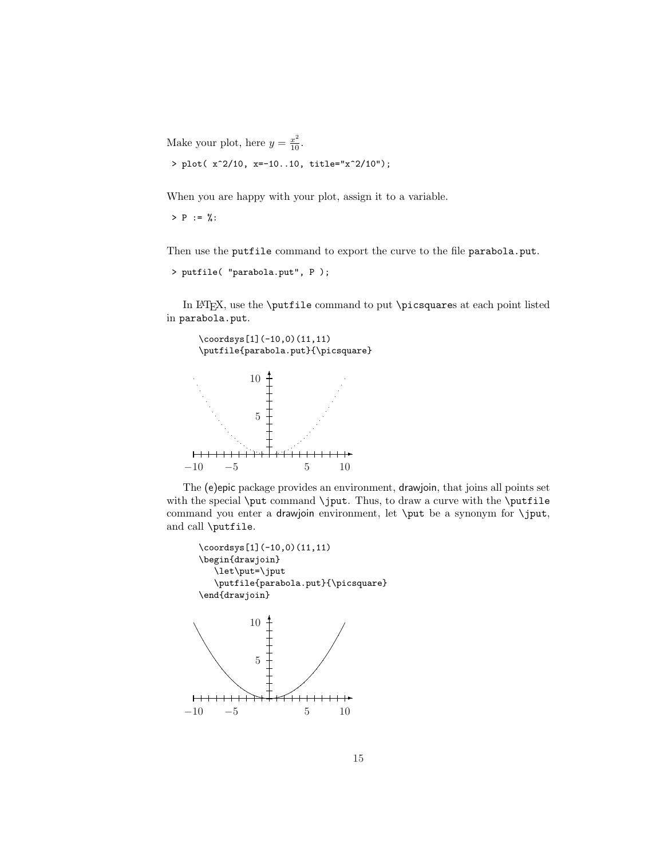Make your plot, here  $y = \frac{x^2}{10}$ .

> plot( x^2/10, x=-10..10, title="x^2/10");

When you are happy with your plot, assign it to a variable.

 $>$  P := %:

Then use the putfile command to export the curve to the file parabola.put.

```
> putfile( "parabola.put", P );
```
In LATEX, use the \putfile command to put \picsquares at each point listed in parabola.put.



The (e)epic package provides an environment, drawjoin, that joins all points set with the special \put command \jput. Thus, to draw a curve with the \putfile command you enter a drawjoin environment, let \put be a synonym for \jput, and call \putfile.

```
\coordsys[1](-10,0)(11,11)
\begin{drawjoin}
  \let\put=\jput
  \putfile{parabola.put}{\picsquare}
\end{drawjoin}
```
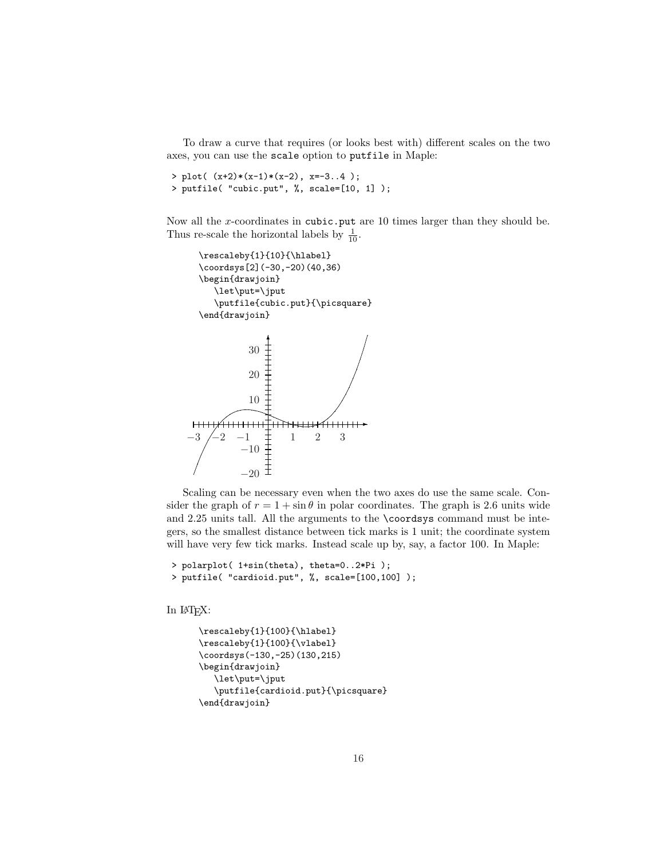To draw a curve that requires (or looks best with) different scales on the two axes, you can use the scale option to putfile in Maple:

```
> plot((x+2)*(x-1)*(x-2), x=-3..4);
> putfile( "cubic.put", %, scale=[10, 1] );
```
Now all the x-coordinates in cubic.put are 10 times larger than they should be. Thus re-scale the horizontal labels by  $\frac{1}{10}$ .

```
\rescaleby{1}{10}{\hlabel}
  \coordsys[2](-30,-20)(40,36)
  \begin{drawjoin}
     \let\put=\jput
     \putfile{cubic.put}{\picsquare}
  \end{drawjoin}
                ✻
            30
            20
            10
H<del>14 - - - - - - - - -</del>
                            ✲
-3 -2 -1 \neq 1 2 3
          −10
          −20
```
Scaling can be necessary even when the two axes do use the same scale. Consider the graph of  $r = 1 + \sin \theta$  in polar coordinates. The graph is 2.6 units wide and 2.25 units tall. All the arguments to the \coordsys command must be integers, so the smallest distance between tick marks is 1 unit; the coordinate system will have very few tick marks. Instead scale up by, say, a factor 100. In Maple:

```
> polarplot( 1+sin(theta), theta=0..2*Pi );
> putfile( "cardioid.put", %, scale=[100,100] );
```
In LATEX:

```
\rescaleby{1}{100}{\hlabel}
\rescaleby{1}{100}{\vlabel}
\coordsys(-130,-25)(130,215)
\begin{drawjoin}
  \let\put=\jput
   \putfile{cardioid.put}{\picsquare}
\end{drawjoin}
```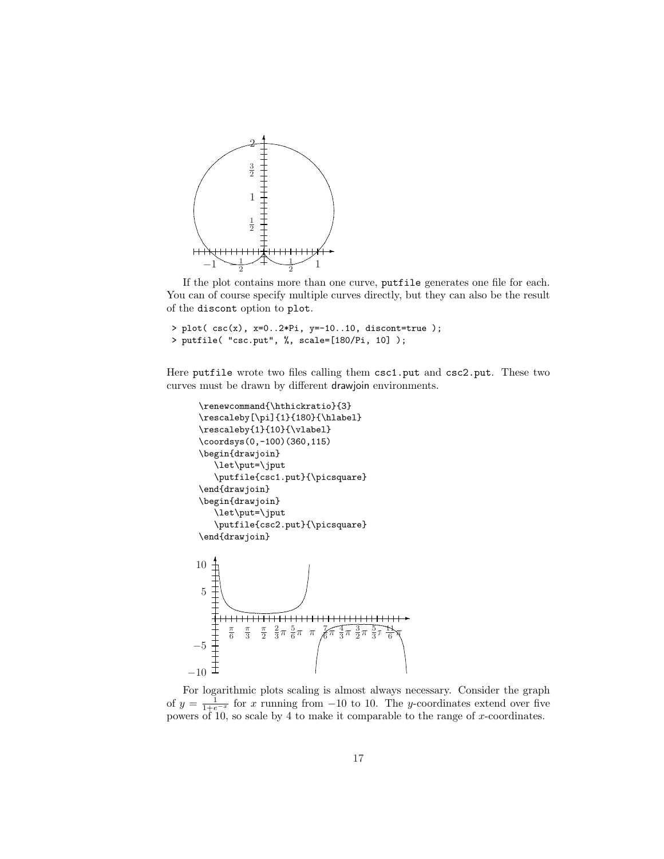

If the plot contains more than one curve, putfile generates one file for each. You can of course specify multiple curves directly, but they can also be the result of the discont option to plot.

```
> plot( csc(x), x=0..2*Pi, y=-10..10, discont=true );
> putfile( "csc.put", %, scale=[180/Pi, 10] );
```
Here putfile wrote two files calling them csc1.put and csc2.put. These two curves must be drawn by different drawjoin environments.

```
\renewcommand{\hthickratio}{3}
   \rescaleby[\pi]{1}{180}{\hlabel}
  \rescaleby{1}{10}{\vlabel}
  \coordsys(0,-100)(360,115)
  \begin{drawjoin}
      \let\put=\jput
      \putfile{csc1.put}{\picsquare}
   \end{drawjoin}
   \begin{drawjoin}
      \let\put=\jput
      \putfile{csc2.put}{\picsquare}
  \end{drawjoin}
       ✻
  10
   5
                                                        \mapsto++++++++++++++++++++++
           \frac{\pi}{6}\frac{\pi}{3}\frac{\pi}{2}\frac{2}{3}\pi \frac{5}{6}\pi \pi7
                                        \frac{4}{3}\pi \frac{3}{2}\pi \frac{5}{3}\pi11
                                     π
                                                       π
                                    6
                                                     6
 −5
−10
```
For logarithmic plots scaling is almost always necessary. Consider the graph of  $y = \frac{1}{1+e^{-x}}$  for x running from -10 to 10. The y-coordinates extend over five powers of 10, so scale by 4 to make it comparable to the range of  $x$ -coordinates.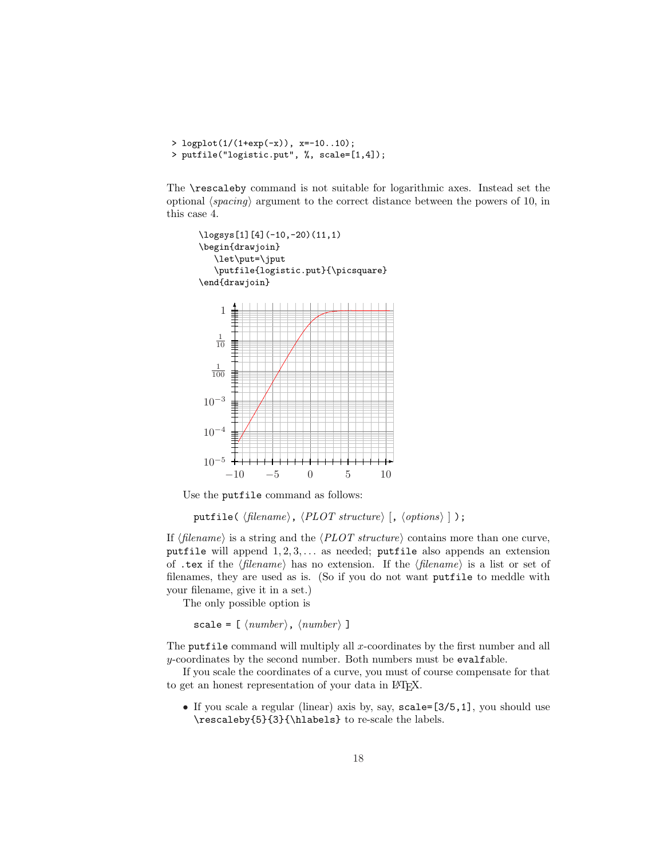```
> logplot(1/(1+exp(-x)), x=-10..10);
> putfile("logistic.put", %, scale=[1,4]);
```
The \rescaleby command is not suitable for logarithmic axes. Instead set the optional  $\langle spacing \rangle$  argument to the correct distance between the powers of 10, in this case 4.



Use the putfile command as follows:

putfile( $\langle$ filename $\rangle$ ,  $\langle PLOT$  structure $\rangle$  [,  $\langle$ options $\rangle$  ]  $\rangle$ ;

If  $\langle$  filename) is a string and the  $\langle PLOT \; structure \rangle$  contains more than one curve, putfile will append  $1, 2, 3, \ldots$  as needed; putfile also appends an extension of .tex if the  $\langle filename \rangle$  has no extension. If the  $\langle filename \rangle$  is a list or set of filenames, they are used as is. (So if you do not want putfile to meddle with your filename, give it in a set.)

The only possible option is

scale =  $[$   $\langle number \rangle$ ,  $\langle number \rangle$  ]

The putfile command will multiply all x-coordinates by the first number and all y-coordinates by the second number. Both numbers must be evalfable.

If you scale the coordinates of a curve, you must of course compensate for that to get an honest representation of your data in LAT<sub>EX</sub>.

• If you scale a regular (linear) axis by, say,  $scale=[3/5,1]$ , you should use \rescaleby{5}{3}{\hlabels} to re-scale the labels.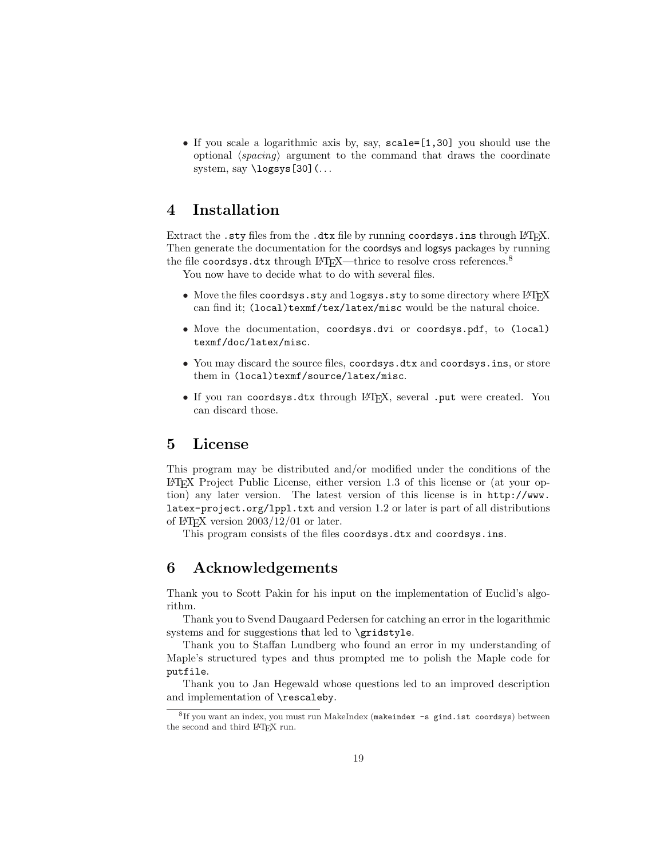• If you scale a logarithmic axis by, say, scale=[1,30] you should use the optional  $\langle spacing \rangle$  argument to the command that draws the coordinate system, say \logsys[30](...

# 4 Installation

Extract the .sty files from the .dtx file by running coordsys.ins through LAT<sub>E</sub>X. Then generate the documentation for the coordsys and logsys packages by running the file coordsys.dtx through LAT<sub>E</sub>X—thrice to resolve cross references.<sup>8</sup>

You now have to decide what to do with several files.

- Move the files coordsys.sty and logsys.sty to some directory where LATEX can find it; (local)texmf/tex/latex/misc would be the natural choice.
- Move the documentation, coordsys.dvi or coordsys.pdf, to (local) texmf/doc/latex/misc.
- You may discard the source files, coordsys.dtx and coordsys.ins, or store them in (local)texmf/source/latex/misc.
- If you ran coordsys.dtx through LAT<sub>E</sub>X, several .put were created. You can discard those.

### 5 License

This program may be distributed and/or modified under the conditions of the LATEX Project Public License, either version 1.3 of this license or (at your option) any later version. The latest version of this license is in http://www. latex-project.org/lppl.txt and version 1.2 or later is part of all distributions of  $\text{LFT}$  version  $2003/12/01$  or later.

This program consists of the files coordsys.dtx and coordsys.ins.

# 6 Acknowledgements

Thank you to Scott Pakin for his input on the implementation of Euclid's algorithm.

Thank you to Svend Daugaard Pedersen for catching an error in the logarithmic systems and for suggestions that led to \gridstyle.

Thank you to Staffan Lundberg who found an error in my understanding of Maple's structured types and thus prompted me to polish the Maple code for putfile.

Thank you to Jan Hegewald whose questions led to an improved description and implementation of \rescaleby.

<sup>8</sup> If you want an index, you must run MakeIndex (makeindex -s gind.ist coordsys) between the second and third LAT<sub>E</sub>X run.